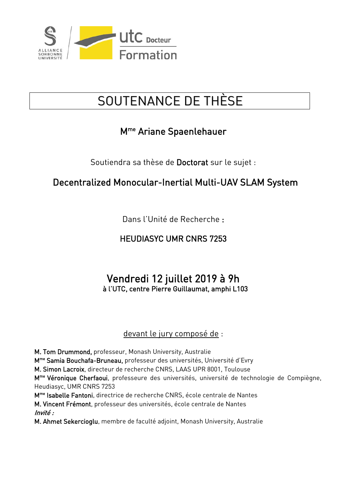

## SOUTENANCE DE THÈSE

### Mme Ariane Spaenlehauer

Soutiendra sa thèse de Doctorat sur le sujet :

#### Decentralized Monocular-Inertial Multi-UAV SLAM System

Dans l'Unité de Recherche :

#### HEUDIASYC UMR CNRS 7253

# Vendredi 12 juillet 2019 à 9h à l'UTC, centre Pierre Guillaumat, amphi L103

#### devant le jury composé de :

M. Tom Drummond, professeur, Monash University, Australie

Mme Samia Bouchafa-Bruneau, professeur des universités, Université d'Evry

M. Simon Lacroix, directeur de recherche CNRS, LAAS UPR 8001, Toulouse

M<sup>me</sup> Véronique Cherfaoui, professeure des universités, université de technologie de Compiègne, Heudiasyc, UMR CNRS 7253

Mme Isabelle Fantoni, directrice de recherche CNRS, école centrale de Nantes

M. Vincent Frémont, professeur des universités, école centrale de Nantes Invité :

M. Ahmet Sekercioglu, membre de faculté adjoint, Monash University, Australie